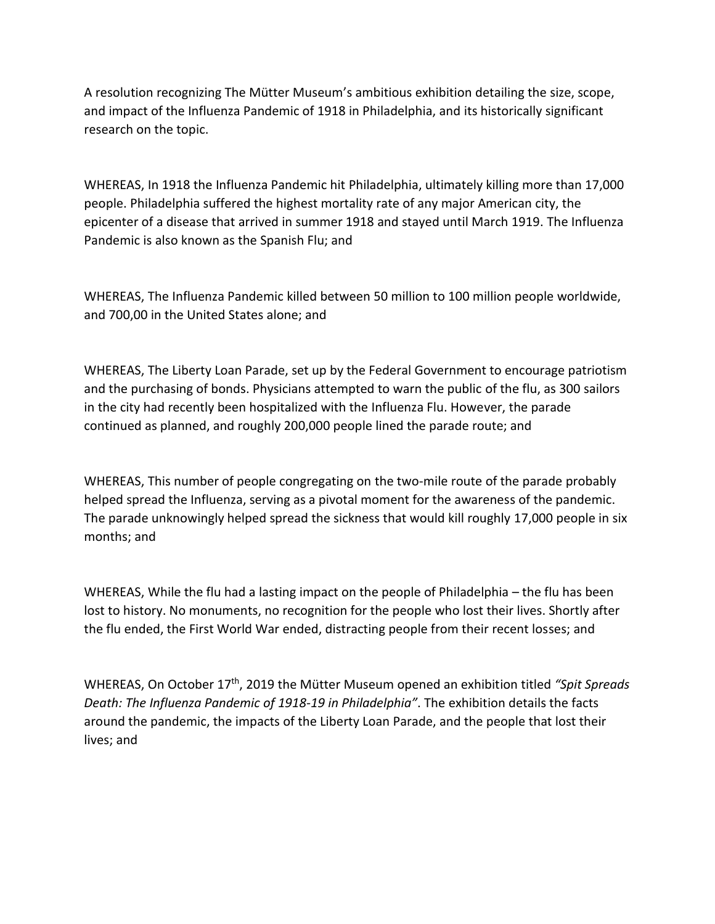A resolution recognizing The Mütter Museum's ambitious exhibition detailing the size, scope, and impact of the Influenza Pandemic of 1918 in Philadelphia, and its historically significant research on the topic.

WHEREAS, In 1918 the Influenza Pandemic hit Philadelphia, ultimately killing more than 17,000 people. Philadelphia suffered the highest mortality rate of any major American city, the epicenter of a disease that arrived in summer 1918 and stayed until March 1919. The Influenza Pandemic is also known as the Spanish Flu; and

WHEREAS, The Influenza Pandemic killed between 50 million to 100 million people worldwide, and 700,00 in the United States alone; and

WHEREAS, The Liberty Loan Parade, set up by the Federal Government to encourage patriotism and the purchasing of bonds. Physicians attempted to warn the public of the flu, as 300 sailors in the city had recently been hospitalized with the Influenza Flu. However, the parade continued as planned, and roughly 200,000 people lined the parade route; and

WHEREAS, This number of people congregating on the two-mile route of the parade probably helped spread the Influenza, serving as a pivotal moment for the awareness of the pandemic. The parade unknowingly helped spread the sickness that would kill roughly 17,000 people in six months; and

WHEREAS, While the flu had a lasting impact on the people of Philadelphia – the flu has been lost to history. No monuments, no recognition for the people who lost their lives. Shortly after the flu ended, the First World War ended, distracting people from their recent losses; and

WHEREAS, On October 17th, 2019 the Mütter Museum opened an exhibition titled *"Spit Spreads Death: The Influenza Pandemic of 1918-19 in Philadelphia"*. The exhibition details the facts around the pandemic, the impacts of the Liberty Loan Parade, and the people that lost their lives; and